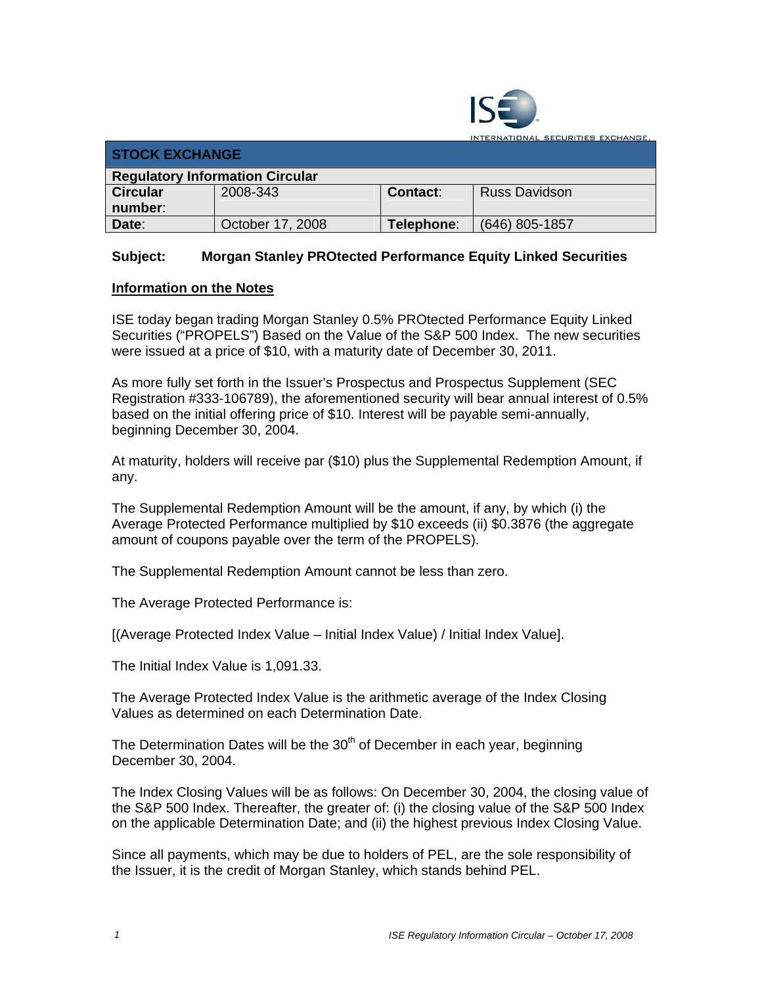

**ITERNATIONAL SECURITIES EXCHANGE.** 

| <b>STOCK EXCHANGE</b>                  |                  |            |                      |  |  |
|----------------------------------------|------------------|------------|----------------------|--|--|
| <b>Regulatory Information Circular</b> |                  |            |                      |  |  |
| <b>Circular</b>                        | 2008-343         | Contact:   | <b>Russ Davidson</b> |  |  |
| number:                                |                  |            |                      |  |  |
| Date:                                  | October 17, 2008 | Telephone: | (646) 805-1857       |  |  |

## **Subject: Morgan Stanley PROtected Performance Equity Linked Securities**

## **Information on the Notes**

ISE today began trading Morgan Stanley 0.5% PROtected Performance Equity Linked Securities ("PROPELS") Based on the Value of the S&P 500 Index. The new securities were issued at a price of \$10, with a maturity date of December 30, 2011.

As more fully set forth in the Issuer's Prospectus and Prospectus Supplement (SEC Registration #333-106789), the aforementioned security will bear annual interest of 0.5% based on the initial offering price of \$10. Interest will be payable semi-annually, beginning December 30, 2004.

At maturity, holders will receive par (\$10) plus the Supplemental Redemption Amount, if any.

The Supplemental Redemption Amount will be the amount, if any, by which (i) the Average Protected Performance multiplied by \$10 exceeds (ii) \$0.3876 (the aggregate amount of coupons payable over the term of the PROPELS).

The Supplemental Redemption Amount cannot be less than zero.

The Average Protected Performance is:

[(Average Protected Index Value – Initial Index Value) / Initial Index Value].

The Initial Index Value is 1,091.33.

The Average Protected Index Value is the arithmetic average of the Index Closing Values as determined on each Determination Date.

The Determination Dates will be the  $30<sup>th</sup>$  of December in each year, beginning December 30, 2004.

The Index Closing Values will be as follows: On December 30, 2004, the closing value of the S&P 500 Index. Thereafter, the greater of: (i) the closing value of the S&P 500 Index on the applicable Determination Date; and (ii) the highest previous Index Closing Value.

Since all payments, which may be due to holders of PEL, are the sole responsibility of the Issuer, it is the credit of Morgan Stanley, which stands behind PEL.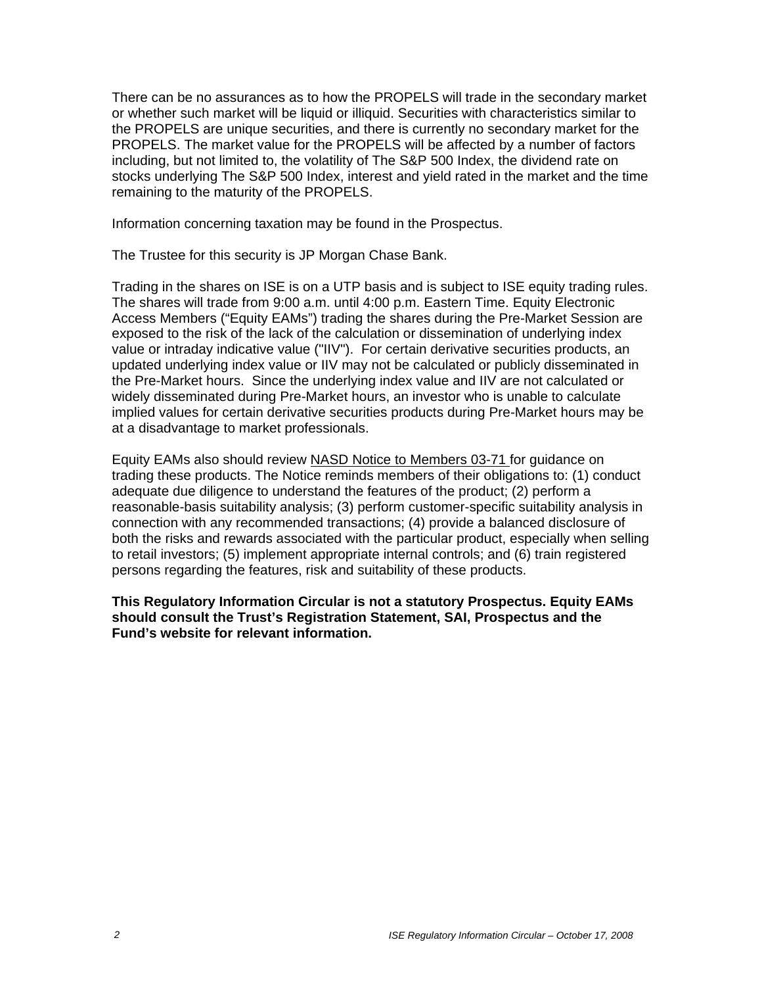There can be no assurances as to how the PROPELS will trade in the secondary market or whether such market will be liquid or illiquid. Securities with characteristics similar to the PROPELS are unique securities, and there is currently no secondary market for the PROPELS. The market value for the PROPELS will be affected by a number of factors including, but not limited to, the volatility of The S&P 500 Index, the dividend rate on stocks underlying The S&P 500 Index, interest and yield rated in the market and the time remaining to the maturity of the PROPELS.

Information concerning taxation may be found in the Prospectus.

The Trustee for this security is JP Morgan Chase Bank.

Trading in the shares on ISE is on a UTP basis and is subject to ISE equity trading rules. The shares will trade from 9:00 a.m. until 4:00 p.m. Eastern Time. Equity Electronic Access Members ("Equity EAMs") trading the shares during the Pre-Market Session are exposed to the risk of the lack of the calculation or dissemination of underlying index value or intraday indicative value ("IIV"). For certain derivative securities products, an updated underlying index value or IIV may not be calculated or publicly disseminated in the Pre-Market hours. Since the underlying index value and IIV are not calculated or widely disseminated during Pre-Market hours, an investor who is unable to calculate implied values for certain derivative securities products during Pre-Market hours may be at a disadvantage to market professionals.

Equity EAMs also should review NASD Notice to Members 03-71 for guidance on trading these products. The Notice reminds members of their obligations to: (1) conduct adequate due diligence to understand the features of the product; (2) perform a reasonable-basis suitability analysis; (3) perform customer-specific suitability analysis in connection with any recommended transactions; (4) provide a balanced disclosure of both the risks and rewards associated with the particular product, especially when selling to retail investors; (5) implement appropriate internal controls; and (6) train registered persons regarding the features, risk and suitability of these products.

**This Regulatory Information Circular is not a statutory Prospectus. Equity EAMs should consult the Trust's Registration Statement, SAI, Prospectus and the Fund's website for relevant information.**